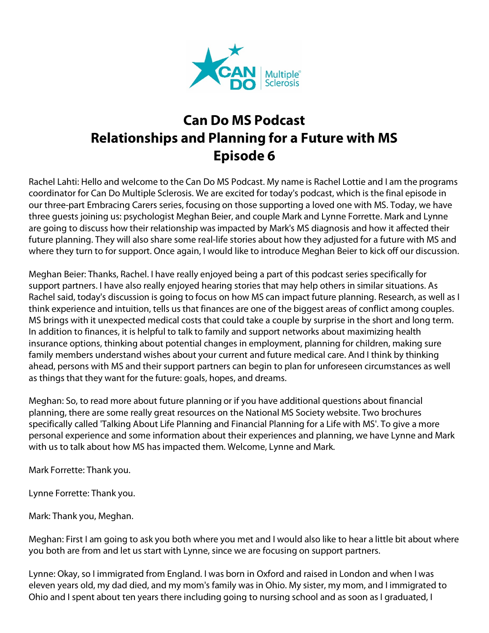

## **Can Do MS Podcast Relationships and Planning for a Future with MS Episode 6**

Rachel Lahti: Hello and welcome to the Can Do MS Podcast. My name is Rachel Lottie and I am the programs coordinator for Can Do Multiple Sclerosis. We are excited for today's podcast, which is the final episode in our three-part Embracing Carers series, focusing on those supporting a loved one with MS. Today, we have three guests joining us: psychologist Meghan Beier, and couple Mark and Lynne Forrette. Mark and Lynne are going to discuss how their relationship was impacted by Mark's MS diagnosis and how it affected their future planning. They will also share some real-life stories about how they adjusted for a future with MS and where they turn to for support. Once again, I would like to introduce Meghan Beier to kick off our discussion.

Meghan Beier: Thanks, Rachel. I have really enjoyed being a part of this podcast series specifically for support partners. I have also really enjoyed hearing stories that may help others in similar situations. As Rachel said, today's discussion is going to focus on how MS can impact future planning. Research, as well as I think experience and intuition, tells us that finances are one of the biggest areas of conflict among couples. MS brings with it unexpected medical costs that could take a couple by surprise in the short and long term. In addition to finances, it is helpful to talk to family and support networks about maximizing health insurance options, thinking about potential changes in employment, planning for children, making sure family members understand wishes about your current and future medical care. And I think by thinking ahead, persons with MS and their support partners can begin to plan for unforeseen circumstances as well as things that they want for the future: goals, hopes, and dreams.

Meghan: So, to read more about future planning or if you have additional questions about financial planning, there are some really great resources on the National MS Society website. Two brochures specifically called 'Talking About Life Planning and Financial Planning for a Life with MS'. To give a more personal experience and some information about their experiences and planning, we have Lynne and Mark with us to talk about how MS has impacted them. Welcome, Lynne and Mark.

Mark Forrette: Thank you.

Lynne Forrette: Thank you.

Mark: Thank you, Meghan.

Meghan: First I am going to ask you both where you met and I would also like to hear a little bit about where you both are from and let us start with Lynne, since we are focusing on support partners.

Lynne: Okay, so I immigrated from England. I was born in Oxford and raised in London and when I was eleven years old, my dad died, and my mom's family was in Ohio. My sister, my mom, and I immigrated to Ohio and I spent about ten years there including going to nursing school and as soon as I graduated, I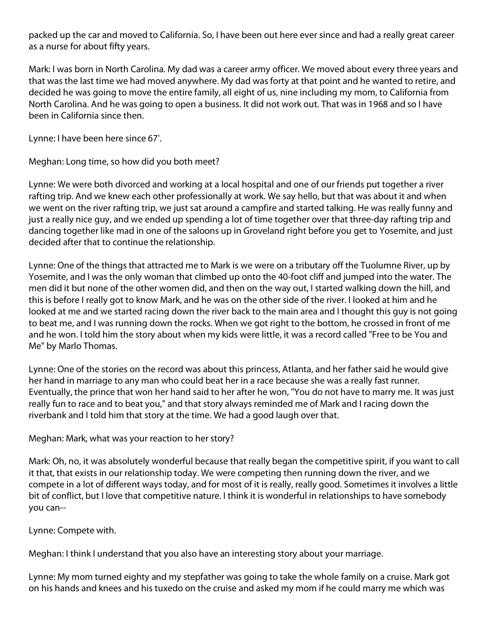packed up the car and moved to California. So, I have been out here ever since and had a really great career as a nurse for about fifty years.

Mark: I was born in North Carolina. My dad was a career army officer. We moved about every three years and that was the last time we had moved anywhere. My dad was forty at that point and he wanted to retire, and decided he was going to move the entire family, all eight of us, nine including my mom, to California from North Carolina. And he was going to open a business. It did not work out. That was in 1968 and so I have been in California since then.

Lynne: I have been here since 67'.

Meghan: Long time, so how did you both meet?

Lynne: We were both divorced and working at a local hospital and one of our friends put together a river rafting trip. And we knew each other professionally at work. We say hello, but that was about it and when we went on the river rafting trip, we just sat around a campfire and started talking. He was really funny and just a really nice guy, and we ended up spending a lot of time together over that three-day rafting trip and dancing together like mad in one of the saloons up in Groveland right before you get to Yosemite, and just decided after that to continue the relationship.

Lynne: One of the things that attracted me to Mark is we were on a tributary off the Tuolumne River, up by Yosemite, and I was the only woman that climbed up onto the 40-foot cliff and jumped into the water. The men did it but none of the other women did, and then on the way out, I started walking down the hill, and this is before I really got to know Mark, and he was on the other side of the river. I looked at him and he looked at me and we started racing down the river back to the main area and I thought this guy is not going to beat me, and I was running down the rocks. When we got right to the bottom, he crossed in front of me and he won. I told him the story about when my kids were little, it was a record called "Free to be You and Me" by Marlo Thomas.

Lynne: One of the stories on the record was about this princess, Atlanta, and her father said he would give her hand in marriage to any man who could beat her in a race because she was a really fast runner. Eventually, the prince that won her hand said to her after he won, "You do not have to marry me. It was just really fun to race and to beat you," and that story always reminded me of Mark and I racing down the riverbank and I told him that story at the time. We had a good laugh over that.

Meghan: Mark, what was your reaction to her story?

Mark: Oh, no, it was absolutely wonderful because that really began the competitive spirit, if you want to call it that, that exists in our relationship today. We were competing then running down the river, and we compete in a lot of different ways today, and for most of it is really, really good. Sometimes it involves a little bit of conflict, but I love that competitive nature. I think it is wonderful in relationships to have somebody you can--

Lynne: Compete with.

Meghan: I think I understand that you also have an interesting story about your marriage.

Lynne: My mom turned eighty and my stepfather was going to take the whole family on a cruise. Mark got on his hands and knees and his tuxedo on the cruise and asked my mom if he could marry me which was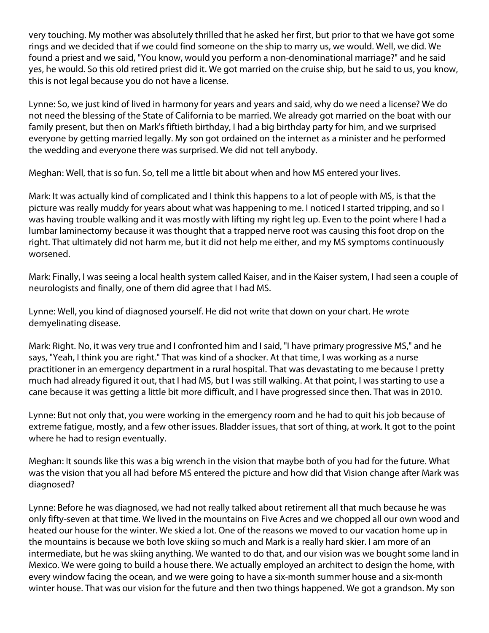very touching. My mother was absolutely thrilled that he asked her first, but prior to that we have got some rings and we decided that if we could find someone on the ship to marry us, we would. Well, we did. We found a priest and we said, "You know, would you perform a non-denominational marriage?" and he said yes, he would. So this old retired priest did it. We got married on the cruise ship, but he said to us, you know, this is not legal because you do not have a license.

Lynne: So, we just kind of lived in harmony for years and years and said, why do we need a license? We do not need the blessing of the State of California to be married. We already got married on the boat with our family present, but then on Mark's fiftieth birthday, I had a big birthday party for him, and we surprised everyone by getting married legally. My son got ordained on the internet as a minister and he performed the wedding and everyone there was surprised. We did not tell anybody.

Meghan: Well, that is so fun. So, tell me a little bit about when and how MS entered your lives.

Mark: It was actually kind of complicated and I think this happens to a lot of people with MS, is that the picture was really muddy for years about what was happening to me. I noticed I started tripping, and so I was having trouble walking and it was mostly with lifting my right leg up. Even to the point where I had a lumbar laminectomy because it was thought that a trapped nerve root was causing this foot drop on the right. That ultimately did not harm me, but it did not help me either, and my MS symptoms continuously worsened.

Mark: Finally, I was seeing a local health system called Kaiser, and in the Kaiser system, I had seen a couple of neurologists and finally, one of them did agree that I had MS.

Lynne: Well, you kind of diagnosed yourself. He did not write that down on your chart. He wrote demyelinating disease.

Mark: Right. No, it was very true and I confronted him and I said, "I have primary progressive MS," and he says, "Yeah, I think you are right." That was kind of a shocker. At that time, I was working as a nurse practitioner in an emergency department in a rural hospital. That was devastating to me because I pretty much had already figured it out, that I had MS, but I was still walking. At that point, I was starting to use a cane because it was getting a little bit more difficult, and I have progressed since then. That was in 2010.

Lynne: But not only that, you were working in the emergency room and he had to quit his job because of extreme fatigue, mostly, and a few other issues. Bladder issues, that sort of thing, at work. It got to the point where he had to resign eventually.

Meghan: It sounds like this was a big wrench in the vision that maybe both of you had for the future. What was the vision that you all had before MS entered the picture and how did that Vision change after Mark was diagnosed?

Lynne: Before he was diagnosed, we had not really talked about retirement all that much because he was only fifty-seven at that time. We lived in the mountains on Five Acres and we chopped all our own wood and heated our house for the winter. We skied a lot. One of the reasons we moved to our vacation home up in the mountains is because we both love skiing so much and Mark is a really hard skier. I am more of an intermediate, but he was skiing anything. We wanted to do that, and our vision was we bought some land in Mexico. We were going to build a house there. We actually employed an architect to design the home, with every window facing the ocean, and we were going to have a six-month summer house and a six-month winter house. That was our vision for the future and then two things happened. We got a grandson. My son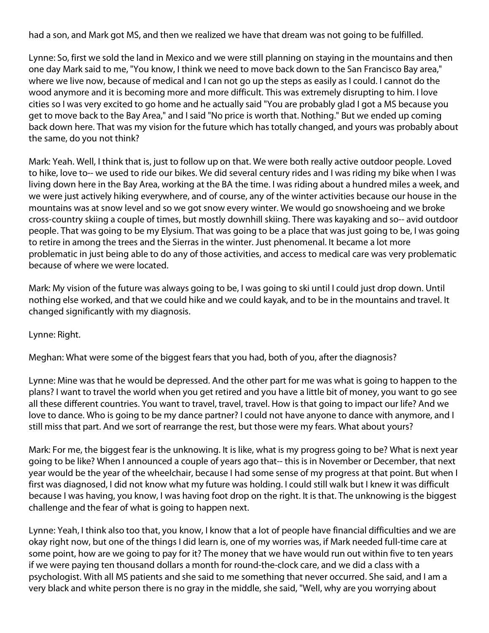had a son, and Mark got MS, and then we realized we have that dream was not going to be fulfilled.

Lynne: So, first we sold the land in Mexico and we were still planning on staying in the mountains and then one day Mark said to me, "You know, I think we need to move back down to the San Francisco Bay area," where we live now, because of medical and I can not go up the steps as easily as I could. I cannot do the wood anymore and it is becoming more and more difficult. This was extremely disrupting to him. I love cities so I was very excited to go home and he actually said "You are probably glad I got a MS because you get to move back to the Bay Area," and I said "No price is worth that. Nothing." But we ended up coming back down here. That was my vision for the future which has totally changed, and yours was probably about the same, do you not think?

Mark: Yeah. Well, I think that is, just to follow up on that. We were both really active outdoor people. Loved to hike, love to-- we used to ride our bikes. We did several century rides and I was riding my bike when I was living down here in the Bay Area, working at the BA the time. I was riding about a hundred miles a week, and we were just actively hiking everywhere, and of course, any of the winter activities because our house in the mountains was at snow level and so we got snow every winter. We would go snowshoeing and we broke cross-country skiing a couple of times, but mostly downhill skiing. There was kayaking and so-- avid outdoor people. That was going to be my Elysium. That was going to be a place that was just going to be, I was going to retire in among the trees and the Sierras in the winter. Just phenomenal. It became a lot more problematic in just being able to do any of those activities, and access to medical care was very problematic because of where we were located.

Mark: My vision of the future was always going to be, I was going to ski until I could just drop down. Until nothing else worked, and that we could hike and we could kayak, and to be in the mountains and travel. It changed significantly with my diagnosis.

Lynne: Right.

Meghan: What were some of the biggest fears that you had, both of you, after the diagnosis?

Lynne: Mine was that he would be depressed. And the other part for me was what is going to happen to the plans? I want to travel the world when you get retired and you have a little bit of money, you want to go see all these different countries. You want to travel, travel, travel. How is that going to impact our life? And we love to dance. Who is going to be my dance partner? I could not have anyone to dance with anymore, and I still miss that part. And we sort of rearrange the rest, but those were my fears. What about yours?

Mark: For me, the biggest fear is the unknowing. It is like, what is my progress going to be? What is next year going to be like? When I announced a couple of years ago that-- this is in November or December, that next year would be the year of the wheelchair, because I had some sense of my progress at that point. But when I first was diagnosed, I did not know what my future was holding. I could still walk but I knew it was difficult because I was having, you know, I was having foot drop on the right. It is that. The unknowing is the biggest challenge and the fear of what is going to happen next.

Lynne: Yeah, I think also too that, you know, I know that a lot of people have financial difficulties and we are okay right now, but one of the things I did learn is, one of my worries was, if Mark needed full-time care at some point, how are we going to pay for it? The money that we have would run out within five to ten years if we were paying ten thousand dollars a month for round-the-clock care, and we did a class with a psychologist. With all MS patients and she said to me something that never occurred. She said, and I am a very black and white person there is no gray in the middle, she said, "Well, why are you worrying about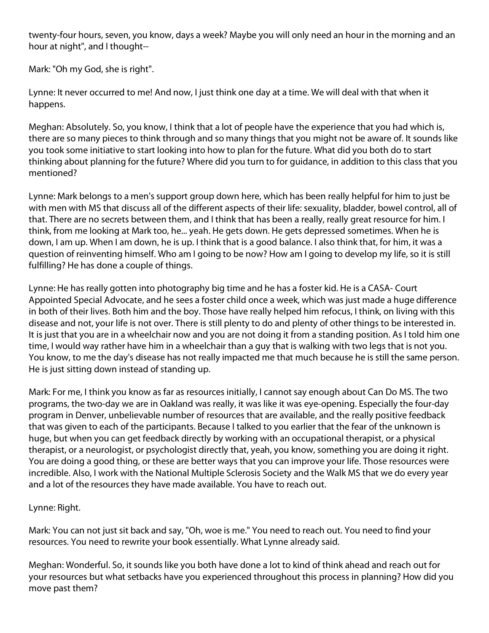twenty-four hours, seven, you know, days a week? Maybe you will only need an hour in the morning and an hour at night", and I thought--

Mark: "Oh my God, she is right".

Lynne: It never occurred to me! And now, I just think one day at a time. We will deal with that when it happens.

Meghan: Absolutely. So, you know, I think that a lot of people have the experience that you had which is, there are so many pieces to think through and so many things that you might not be aware of. It sounds like you took some initiative to start looking into how to plan for the future. What did you both do to start thinking about planning for the future? Where did you turn to for guidance, in addition to this class that you mentioned?

Lynne: Mark belongs to a men's support group down here, which has been really helpful for him to just be with men with MS that discuss all of the different aspects of their life: sexuality, bladder, bowel control, all of that. There are no secrets between them, and I think that has been a really, really great resource for him. I think, from me looking at Mark too, he... yeah. He gets down. He gets depressed sometimes. When he is down, I am up. When I am down, he is up. I think that is a good balance. I also think that, for him, it was a question of reinventing himself. Who am I going to be now? How am I going to develop my life, so it is still fulfilling? He has done a couple of things.

Lynne: He has really gotten into photography big time and he has a foster kid. He is a CASA- Court Appointed Special Advocate, and he sees a foster child once a week, which was just made a huge difference in both of their lives. Both him and the boy. Those have really helped him refocus, I think, on living with this disease and not, your life is not over. There is still plenty to do and plenty of other things to be interested in. It is just that you are in a wheelchair now and you are not doing it from a standing position. As I told him one time, I would way rather have him in a wheelchair than a guy that is walking with two legs that is not you. You know, to me the day's disease has not really impacted me that much because he is still the same person. He is just sitting down instead of standing up.

Mark: For me, I think you know as far as resources initially, I cannot say enough about Can Do MS. The two programs, the two-day we are in Oakland was really, it was like it was eye-opening. Especially the four-day program in Denver, unbelievable number of resources that are available, and the really positive feedback that was given to each of the participants. Because I talked to you earlier that the fear of the unknown is huge, but when you can get feedback directly by working with an occupational therapist, or a physical therapist, or a neurologist, or psychologist directly that, yeah, you know, something you are doing it right. You are doing a good thing, or these are better ways that you can improve your life. Those resources were incredible. Also, I work with the National Multiple Sclerosis Society and the Walk MS that we do every year and a lot of the resources they have made available. You have to reach out.

## Lynne: Right.

Mark: You can not just sit back and say, "Oh, woe is me." You need to reach out. You need to find your resources. You need to rewrite your book essentially. What Lynne already said.

Meghan: Wonderful. So, it sounds like you both have done a lot to kind of think ahead and reach out for your resources but what setbacks have you experienced throughout this process in planning? How did you move past them?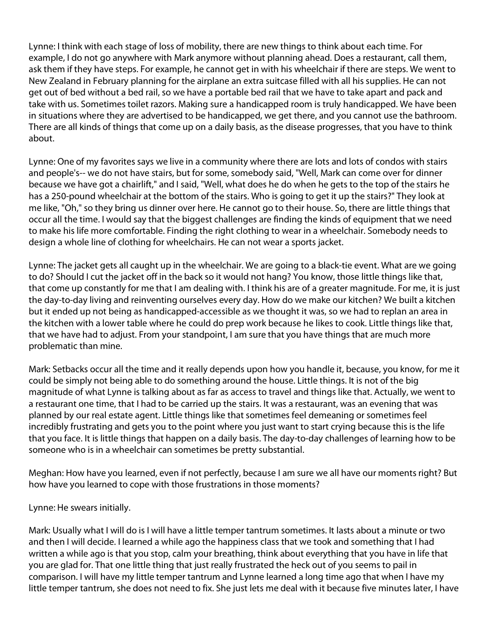Lynne: I think with each stage of loss of mobility, there are new things to think about each time. For example, I do not go anywhere with Mark anymore without planning ahead. Does a restaurant, call them, ask them if they have steps. For example, he cannot get in with his wheelchair if there are steps. We went to New Zealand in February planning for the airplane an extra suitcase filled with all his supplies. He can not get out of bed without a bed rail, so we have a portable bed rail that we have to take apart and pack and take with us. Sometimes toilet razors. Making sure a handicapped room is truly handicapped. We have been in situations where they are advertised to be handicapped, we get there, and you cannot use the bathroom. There are all kinds of things that come up on a daily basis, as the disease progresses, that you have to think about.

Lynne: One of my favorites says we live in a community where there are lots and lots of condos with stairs and people's-- we do not have stairs, but for some, somebody said, "Well, Mark can come over for dinner because we have got a chairlift," and I said, "Well, what does he do when he gets to the top of the stairs he has a 250-pound wheelchair at the bottom of the stairs. Who is going to get it up the stairs?" They look at me like, "Oh," so they bring us dinner over here. He cannot go to their house. So, there are little things that occur all the time. I would say that the biggest challenges are finding the kinds of equipment that we need to make his life more comfortable. Finding the right clothing to wear in a wheelchair. Somebody needs to design a whole line of clothing for wheelchairs. He can not wear a sports jacket.

Lynne: The jacket gets all caught up in the wheelchair. We are going to a black-tie event. What are we going to do? Should I cut the jacket off in the back so it would not hang? You know, those little things like that, that come up constantly for me that I am dealing with. I think his are of a greater magnitude. For me, it is just the day-to-day living and reinventing ourselves every day. How do we make our kitchen? We built a kitchen but it ended up not being as handicapped-accessible as we thought it was, so we had to replan an area in the kitchen with a lower table where he could do prep work because he likes to cook. Little things like that, that we have had to adjust. From your standpoint, I am sure that you have things that are much more problematic than mine.

Mark: Setbacks occur all the time and it really depends upon how you handle it, because, you know, for me it could be simply not being able to do something around the house. Little things. It is not of the big magnitude of what Lynne is talking about as far as access to travel and things like that. Actually, we went to a restaurant one time, that I had to be carried up the stairs. It was a restaurant, was an evening that was planned by our real estate agent. Little things like that sometimes feel demeaning or sometimes feel incredibly frustrating and gets you to the point where you just want to start crying because this is the life that you face. It is little things that happen on a daily basis. The day-to-day challenges of learning how to be someone who is in a wheelchair can sometimes be pretty substantial.

Meghan: How have you learned, even if not perfectly, because I am sure we all have our moments right? But how have you learned to cope with those frustrations in those moments?

Lynne: He swears initially.

Mark: Usually what I will do is I will have a little temper tantrum sometimes. It lasts about a minute or two and then I will decide. I learned a while ago the happiness class that we took and something that I had written a while ago is that you stop, calm your breathing, think about everything that you have in life that you are glad for. That one little thing that just really frustrated the heck out of you seems to pail in comparison. I will have my little temper tantrum and Lynne learned a long time ago that when I have my little temper tantrum, she does not need to fix. She just lets me deal with it because five minutes later, I have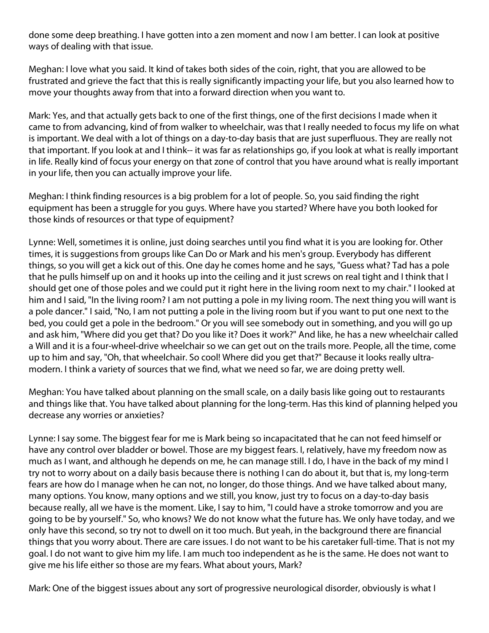done some deep breathing. I have gotten into a zen moment and now I am better. I can look at positive ways of dealing with that issue.

Meghan: I love what you said. It kind of takes both sides of the coin, right, that you are allowed to be frustrated and grieve the fact that this is really significantly impacting your life, but you also learned how to move your thoughts away from that into a forward direction when you want to.

Mark: Yes, and that actually gets back to one of the first things, one of the first decisions I made when it came to from advancing, kind of from walker to wheelchair, was that I really needed to focus my life on what is important. We deal with a lot of things on a day-to-day basis that are just superfluous. They are really not that important. If you look at and I think-- it was far as relationships go, if you look at what is really important in life. Really kind of focus your energy on that zone of control that you have around what is really important in your life, then you can actually improve your life.

Meghan: I think finding resources is a big problem for a lot of people. So, you said finding the right equipment has been a struggle for you guys. Where have you started? Where have you both looked for those kinds of resources or that type of equipment?

Lynne: Well, sometimes it is online, just doing searches until you find what it is you are looking for. Other times, it is suggestions from groups like Can Do or Mark and his men's group. Everybody has different things, so you will get a kick out of this. One day he comes home and he says, "Guess what? Tad has a pole that he pulls himself up on and it hooks up into the ceiling and it just screws on real tight and I think that I should get one of those poles and we could put it right here in the living room next to my chair." I looked at him and I said, "In the living room? I am not putting a pole in my living room. The next thing you will want is a pole dancer." I said, "No, I am not putting a pole in the living room but if you want to put one next to the bed, you could get a pole in the bedroom." Or you will see somebody out in something, and you will go up and ask him, "Where did you get that? Do you like it? Does it work?" And like, he has a new wheelchair called a Will and it is a four-wheel-drive wheelchair so we can get out on the trails more. People, all the time, come up to him and say, "Oh, that wheelchair. So cool! Where did you get that?" Because it looks really ultramodern. I think a variety of sources that we find, what we need so far, we are doing pretty well.

Meghan: You have talked about planning on the small scale, on a daily basis like going out to restaurants and things like that. You have talked about planning for the long-term. Has this kind of planning helped you decrease any worries or anxieties?

Lynne: I say some. The biggest fear for me is Mark being so incapacitated that he can not feed himself or have any control over bladder or bowel. Those are my biggest fears. I, relatively, have my freedom now as much as I want, and although he depends on me, he can manage still. I do, I have in the back of my mind I try not to worry about on a daily basis because there is nothing I can do about it, but that is, my long-term fears are how do I manage when he can not, no longer, do those things. And we have talked about many, many options. You know, many options and we still, you know, just try to focus on a day-to-day basis because really, all we have is the moment. Like, I say to him, "I could have a stroke tomorrow and you are going to be by yourself." So, who knows? We do not know what the future has. We only have today, and we only have this second, so try not to dwell on it too much. But yeah, in the background there are financial things that you worry about. There are care issues. I do not want to be his caretaker full-time. That is not my goal. I do not want to give him my life. I am much too independent as he is the same. He does not want to give me his life either so those are my fears. What about yours, Mark?

Mark: One of the biggest issues about any sort of progressive neurological disorder, obviously is what I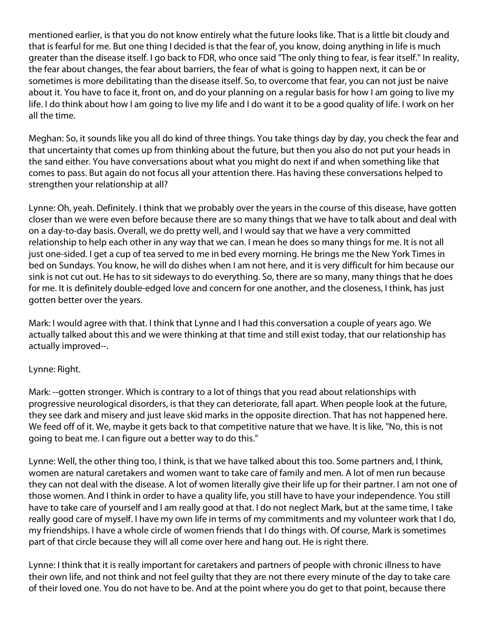mentioned earlier, is that you do not know entirely what the future looks like. That is a little bit cloudy and that is fearful for me. But one thing I decided is that the fear of, you know, doing anything in life is much greater than the disease itself. I go back to FDR, who once said "The only thing to fear, is fear itself." In reality, the fear about changes, the fear about barriers, the fear of what is going to happen next, it can be or sometimes is more debilitating than the disease itself. So, to overcome that fear, you can not just be naive about it. You have to face it, front on, and do your planning on a regular basis for how I am going to live my life. I do think about how I am going to live my life and I do want it to be a good quality of life. I work on her all the time.

Meghan: So, it sounds like you all do kind of three things. You take things day by day, you check the fear and that uncertainty that comes up from thinking about the future, but then you also do not put your heads in the sand either. You have conversations about what you might do next if and when something like that comes to pass. But again do not focus all your attention there. Has having these conversations helped to strengthen your relationship at all?

Lynne: Oh, yeah. Definitely. I think that we probably over the years in the course of this disease, have gotten closer than we were even before because there are so many things that we have to talk about and deal with on a day-to-day basis. Overall, we do pretty well, and I would say that we have a very committed relationship to help each other in any way that we can. I mean he does so many things for me. It is not all just one-sided. I get a cup of tea served to me in bed every morning. He brings me the New York Times in bed on Sundays. You know, he will do dishes when I am not here, and it is very difficult for him because our sink is not cut out. He has to sit sideways to do everything. So, there are so many, many things that he does for me. It is definitely double-edged love and concern for one another, and the closeness, I think, has just gotten better over the years.

Mark: I would agree with that. I think that Lynne and I had this conversation a couple of years ago. We actually talked about this and we were thinking at that time and still exist today, that our relationship has actually improved--.

## Lynne: Right.

Mark: --gotten stronger. Which is contrary to a lot of things that you read about relationships with progressive neurological disorders, is that they can deteriorate, fall apart. When people look at the future, they see dark and misery and just leave skid marks in the opposite direction. That has not happened here. We feed off of it. We, maybe it gets back to that competitive nature that we have. It is like, "No, this is not going to beat me. I can figure out a better way to do this."

Lynne: Well, the other thing too, I think, is that we have talked about this too. Some partners and, I think, women are natural caretakers and women want to take care of family and men. A lot of men run because they can not deal with the disease. A lot of women literally give their life up for their partner. I am not one of those women. And I think in order to have a quality life, you still have to have your independence. You still have to take care of yourself and I am really good at that. I do not neglect Mark, but at the same time, I take really good care of myself. I have my own life in terms of my commitments and my volunteer work that I do, my friendships. I have a whole circle of women friends that I do things with. Of course, Mark is sometimes part of that circle because they will all come over here and hang out. He is right there.

Lynne: I think that it is really important for caretakers and partners of people with chronic illness to have their own life, and not think and not feel guilty that they are not there every minute of the day to take care of their loved one. You do not have to be. And at the point where you do get to that point, because there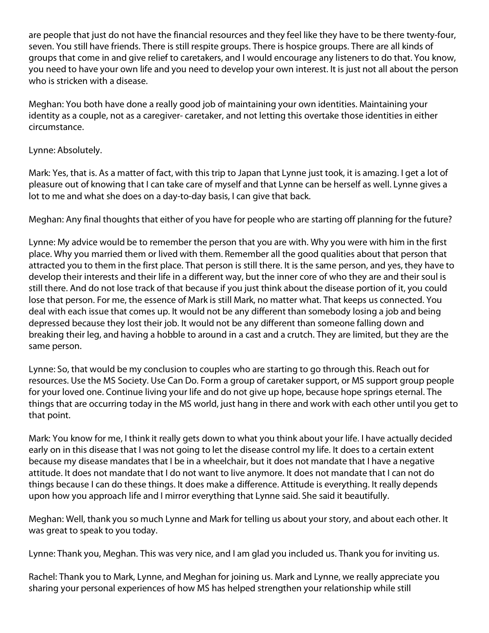are people that just do not have the financial resources and they feel like they have to be there twenty-four, seven. You still have friends. There is still respite groups. There is hospice groups. There are all kinds of groups that come in and give relief to caretakers, and I would encourage any listeners to do that. You know, you need to have your own life and you need to develop your own interest. It is just not all about the person who is stricken with a disease.

Meghan: You both have done a really good job of maintaining your own identities. Maintaining your identity as a couple, not as a caregiver- caretaker, and not letting this overtake those identities in either circumstance.

## Lynne: Absolutely.

Mark: Yes, that is. As a matter of fact, with this trip to Japan that Lynne just took, it is amazing. I get a lot of pleasure out of knowing that I can take care of myself and that Lynne can be herself as well. Lynne gives a lot to me and what she does on a day-to-day basis, I can give that back.

Meghan: Any final thoughts that either of you have for people who are starting off planning for the future?

Lynne: My advice would be to remember the person that you are with. Why you were with him in the first place. Why you married them or lived with them. Remember all the good qualities about that person that attracted you to them in the first place. That person is still there. It is the same person, and yes, they have to develop their interests and their life in a different way, but the inner core of who they are and their soul is still there. And do not lose track of that because if you just think about the disease portion of it, you could lose that person. For me, the essence of Mark is still Mark, no matter what. That keeps us connected. You deal with each issue that comes up. It would not be any different than somebody losing a job and being depressed because they lost their job. It would not be any different than someone falling down and breaking their leg, and having a hobble to around in a cast and a crutch. They are limited, but they are the same person.

Lynne: So, that would be my conclusion to couples who are starting to go through this. Reach out for resources. Use the MS Society. Use Can Do. Form a group of caretaker support, or MS support group people for your loved one. Continue living your life and do not give up hope, because hope springs eternal. The things that are occurring today in the MS world, just hang in there and work with each other until you get to that point.

Mark: You know for me, I think it really gets down to what you think about your life. I have actually decided early on in this disease that I was not going to let the disease control my life. It does to a certain extent because my disease mandates that I be in a wheelchair, but it does not mandate that I have a negative attitude. It does not mandate that I do not want to live anymore. It does not mandate that I can not do things because I can do these things. It does make a difference. Attitude is everything. It really depends upon how you approach life and I mirror everything that Lynne said. She said it beautifully.

Meghan: Well, thank you so much Lynne and Mark for telling us about your story, and about each other. It was great to speak to you today.

Lynne: Thank you, Meghan. This was very nice, and I am glad you included us. Thank you for inviting us.

Rachel: Thank you to Mark, Lynne, and Meghan for joining us. Mark and Lynne, we really appreciate you sharing your personal experiences of how MS has helped strengthen your relationship while still